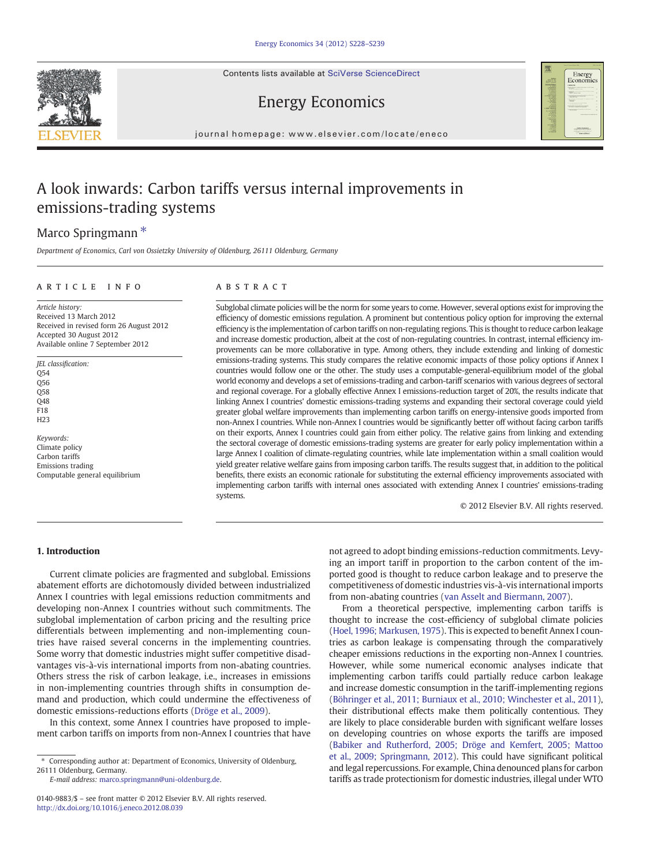Contents lists available at SciVerse ScienceDirect





Energy Economics

journal homepage: www.elsevier.com/locate/eneco

## A look inwards: Carbon tariffs versus internal improvements in emissions-trading systems

## Marco Springmann<sup>\*</sup>

Department of Economics, Carl von Ossietzky University of Oldenburg, 26111 Oldenburg, Germany

### ARTICLE INFO ABSTRACT

Article history: Received 13 March 2012 Received in revised form 26 August 2012 Accepted 30 August 2012 Available online 7 September 2012

JEL classification:  $054$ Q56 Q58 Q48 F18  $H23$ 

Keywords: Climate policy Carbon tariffs Emissions trading Computable general equilibrium

Subglobal climate policies will be the norm for some years to come. However, several options exist for improving the efficiency of domestic emissions regulation. A prominent but contentious policy option for improving the external efficiency is the implementation of carbon tariffs on non-regulating regions. This is thought to reduce carbon leakage and increase domestic production, albeit at the cost of non-regulating countries. In contrast, internal efficiency improvements can be more collaborative in type. Among others, they include extending and linking of domestic emissions-trading systems. This study compares the relative economic impacts of those policy options if Annex I countries would follow one or the other. The study uses a computable-general-equilibrium model of the global world economy and develops a set of emissions-trading and carbon-tariff scenarios with various degrees of sectoral and regional coverage. For a globally effective Annex I emissions-reduction target of 20%, the results indicate that linking Annex I countries' domestic emissions-trading systems and expanding their sectoral coverage could yield greater global welfare improvements than implementing carbon tariffs on energy-intensive goods imported from non-Annex I countries. While non-Annex I countries would be significantly better off without facing carbon tariffs on their exports, Annex I countries could gain from either policy. The relative gains from linking and extending the sectoral coverage of domestic emissions-trading systems are greater for early policy implementation within a large Annex I coalition of climate-regulating countries, while late implementation within a small coalition would yield greater relative welfare gains from imposing carbon tariffs. The results suggest that, in addition to the political benefits, there exists an economic rationale for substituting the external efficiency improvements associated with implementing carbon tariffs with internal ones associated with extending Annex I countries' emissions-trading systems.

© 2012 Elsevier B.V. All rights reserved.

### 1. Introduction

Current climate policies are fragmented and subglobal. Emissions abatement efforts are dichotomously divided between industrialized Annex I countries with legal emissions reduction commitments and developing non-Annex I countries without such commitments. The subglobal implementation of carbon pricing and the resulting price differentials between implementing and non-implementing countries have raised several concerns in the implementing countries. Some worry that domestic industries might suffer competitive disadvantages vis-à-vis international imports from non-abating countries. Others stress the risk of carbon leakage, i.e., increases in emissions in non-implementing countries through shifts in consumption demand and production, which could undermine the effectiveness of domestic emissions-reductions efforts [\(Dröge et al., 2009\)](#page--1-0).

In this context, some Annex I countries have proposed to implement carbon tariffs on imports from non-Annex I countries that have

E-mail address: [marco.springmann@uni-oldenburg.de](mailto:marco.springmann@uni-oldenburg.de).

not agreed to adopt binding emissions-reduction commitments. Levying an import tariff in proportion to the carbon content of the imported good is thought to reduce carbon leakage and to preserve the competitiveness of domestic industries vis-à-vis international imports from non-abating countries [\(van Asselt and Biermann, 2007\)](#page--1-0).

From a theoretical perspective, implementing carbon tariffs is thought to increase the cost-efficiency of subglobal climate policies [\(Hoel, 1996; Markusen, 1975\)](#page--1-0). This is expected to benefit Annex I countries as carbon leakage is compensating through the comparatively cheaper emissions reductions in the exporting non-Annex I countries. However, while some numerical economic analyses indicate that implementing carbon tariffs could partially reduce carbon leakage and increase domestic consumption in the tariff-implementing regions [\(Böhringer et al., 2011; Burniaux et al., 2010; Winchester et al., 2011\)](#page--1-0), their distributional effects make them politically contentious. They are likely to place considerable burden with significant welfare losses on developing countries on whose exports the tariffs are imposed [\(Babiker and Rutherford, 2005; Dröge and Kemfert, 2005; Mattoo](#page--1-0) [et al., 2009; Springmann, 2012\)](#page--1-0). This could have significant political and legal repercussions. For example, China denounced plans for carbon tariffs as trade protectionism for domestic industries, illegal under WTO

<sup>⁎</sup> Corresponding author at: Department of Economics, University of Oldenburg, 26111 Oldenburg, Germany.

<sup>0140-9883/\$</sup> – see front matter © 2012 Elsevier B.V. All rights reserved. <http://dx.doi.org/10.1016/j.eneco.2012.08.039>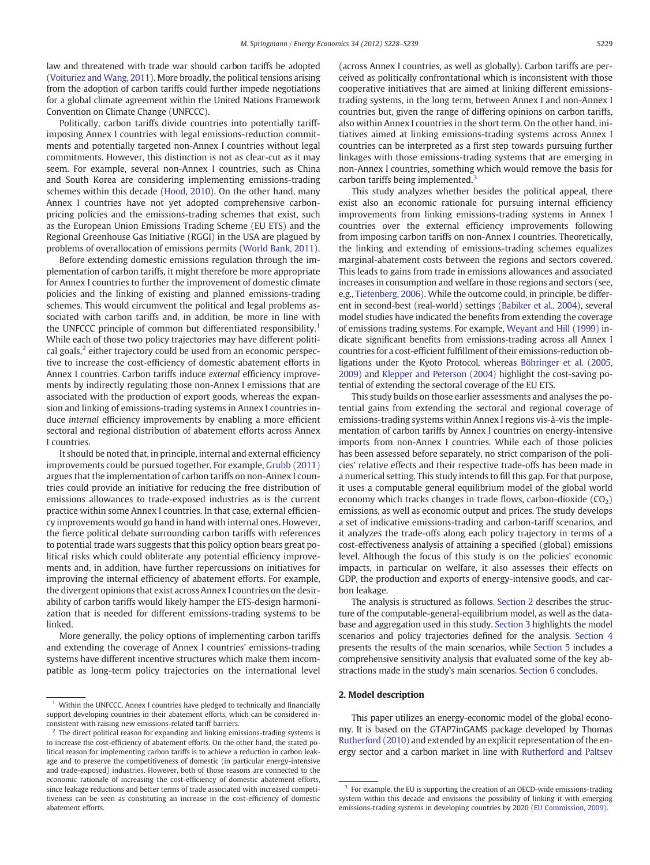law and threatened with trade war should carbon tariffs be adopted [\(Voituriez and Wang, 2011](#page--1-0)). More broadly, the political tensions arising from the adoption of carbon tariffs could further impede negotiations for a global climate agreement within the United Nations Framework Convention on Climate Change (UNFCCC).

Politically, carbon tariffs divide countries into potentially tariffimposing Annex I countries with legal emissions-reduction commitments and potentially targeted non-Annex I countries without legal commitments. However, this distinction is not as clear-cut as it may seem. For example, several non-Annex I countries, such as China and South Korea are considering implementing emissions-trading schemes within this decade ([Hood, 2010\)](#page--1-0). On the other hand, many Annex I countries have not yet adopted comprehensive carbonpricing policies and the emissions-trading schemes that exist, such as the European Union Emissions Trading Scheme (EU ETS) and the Regional Greenhouse Gas Initiative (RGGI) in the USA are plagued by problems of overallocation of emissions permits ([World Bank, 2011\)](#page--1-0).

Before extending domestic emissions regulation through the implementation of carbon tariffs, it might therefore be more appropriate for Annex I countries to further the improvement of domestic climate policies and the linking of existing and planned emissions-trading schemes. This would circumvent the political and legal problems associated with carbon tariffs and, in addition, be more in line with the UNFCCC principle of common but differentiated responsibility.<sup>1</sup> While each of those two policy trajectories may have different political goals, $<sup>2</sup>$  either trajectory could be used from an economic perspec-</sup> tive to increase the cost-efficiency of domestic abatement efforts in Annex I countries. Carbon tariffs induce external efficiency improvements by indirectly regulating those non-Annex I emissions that are associated with the production of export goods, whereas the expansion and linking of emissions-trading systems in Annex I countries induce internal efficiency improvements by enabling a more efficient sectoral and regional distribution of abatement efforts across Annex I countries.

It should be noted that, in principle, internal and external efficiency improvements could be pursued together. For example, [Grubb \(2011\)](#page--1-0) argues that the implementation of carbon tariffs on non-Annex I countries could provide an initiative for reducing the free distribution of emissions allowances to trade-exposed industries as is the current practice within some Annex I countries. In that case, external efficiency improvements would go hand in hand with internal ones. However, the fierce political debate surrounding carbon tariffs with references to potential trade wars suggests that this policy option bears great political risks which could obliterate any potential efficiency improvements and, in addition, have further repercussions on initiatives for improving the internal efficiency of abatement efforts. For example, the divergent opinions that exist across Annex I countries on the desirability of carbon tariffs would likely hamper the ETS-design harmonization that is needed for different emissions-trading systems to be linked.

More generally, the policy options of implementing carbon tariffs and extending the coverage of Annex I countries' emissions-trading systems have different incentive structures which make them incompatible as long-term policy trajectories on the international level (across Annex I countries, as well as globally). Carbon tariffs are perceived as politically confrontational which is inconsistent with those cooperative initiatives that are aimed at linking different emissionstrading systems, in the long term, between Annex I and non-Annex I countries but, given the range of differing opinions on carbon tariffs, also within Annex I countries in the short term. On the other hand, initiatives aimed at linking emissions-trading systems across Annex I countries can be interpreted as a first step towards pursuing further linkages with those emissions-trading systems that are emerging in non-Annex I countries, something which would remove the basis for carbon tariffs being implemented.<sup>3</sup>

This study analyzes whether besides the political appeal, there exist also an economic rationale for pursuing internal efficiency improvements from linking emissions-trading systems in Annex I countries over the external efficiency improvements following from imposing carbon tariffs on non-Annex I countries. Theoretically, the linking and extending of emissions-trading schemes equalizes marginal-abatement costs between the regions and sectors covered. This leads to gains from trade in emissions allowances and associated increases in consumption and welfare in those regions and sectors (see, e.g., [Tietenberg, 2006](#page--1-0)). While the outcome could, in principle, be different in second-best (real-world) settings ([Babiker et al., 2004\)](#page--1-0), several model studies have indicated the benefits from extending the coverage of emissions trading systems. For example, [Weyant and Hill \(1999\)](#page--1-0) indicate significant benefits from emissions-trading across all Annex I countries for a cost-efficient fulfillment of their emissions-reduction obligations under the Kyoto Protocol, whereas [Böhringer et al. \(2005,](#page--1-0) [2009\)](#page--1-0) and [Klepper and Peterson \(2004\)](#page--1-0) highlight the cost-saving potential of extending the sectoral coverage of the EU ETS.

This study builds on those earlier assessments and analyses the potential gains from extending the sectoral and regional coverage of emissions-trading systems within Annex I regions vis-à-vis the implementation of carbon tariffs by Annex I countries on energy-intensive imports from non-Annex I countries. While each of those policies has been assessed before separately, no strict comparison of the policies' relative effects and their respective trade-offs has been made in a numerical setting. This study intends to fill this gap. For that purpose, it uses a computable general equilibrium model of the global world economy which tracks changes in trade flows, carbon-dioxide  $(CO<sub>2</sub>)$ emissions, as well as economic output and prices. The study develops a set of indicative emissions-trading and carbon-tariff scenarios, and it analyzes the trade-offs along each policy trajectory in terms of a cost-effectiveness analysis of attaining a specified (global) emissions level. Although the focus of this study is on the policies' economic impacts, in particular on welfare, it also assesses their effects on GDP, the production and exports of energy-intensive goods, and carbon leakage.

The analysis is structured as follows. Section 2 describes the structure of the computable-general-equilibrium model, as well as the database and aggregation used in this study. [Section 3](#page--1-0) highlights the model scenarios and policy trajectories defined for the analysis. [Section 4](#page--1-0) presents the results of the main scenarios, while [Section 5](#page--1-0) includes a comprehensive sensitivity analysis that evaluated some of the key abstractions made in the study's main scenarios. [Section 6](#page--1-0) concludes.

### 2. Model description

This paper utilizes an energy-economic model of the global economy. It is based on the GTAP7inGAMS package developed by Thomas [Rutherford \(2010\)](#page--1-0) and extended by an explicit representation of the energy sector and a carbon market in line with [Rutherford and Paltsev](#page--1-0)

<sup>&</sup>lt;sup>1</sup> Within the UNFCCC, Annex I countries have pledged to technically and financially support developing countries in their abatement efforts, which can be considered inconsistent with raising new emissions-related tariff barriers.

 $2$  The direct political reason for expanding and linking emissions-trading systems is to increase the cost-efficiency of abatement efforts. On the other hand, the stated political reason for implementing carbon tariffs is to achieve a reduction in carbon leakage and to preserve the competitiveness of domestic (in particular energy-intensive and trade-exposed) industries. However, both of those reasons are connected to the economic rationale of increasing the cost-efficiency of domestic abatement efforts, since leakage reductions and better terms of trade associated with increased competitiveness can be seen as constituting an increase in the cost-efficiency of domestic abatement efforts.

 $3$  For example, the EU is supporting the creation of an OECD-wide emissions-trading system within this decade and envisions the possibility of linking it with emerging emissions-trading systems in developing countries by 2020 [\(EU Commission, 2009](#page--1-0)).